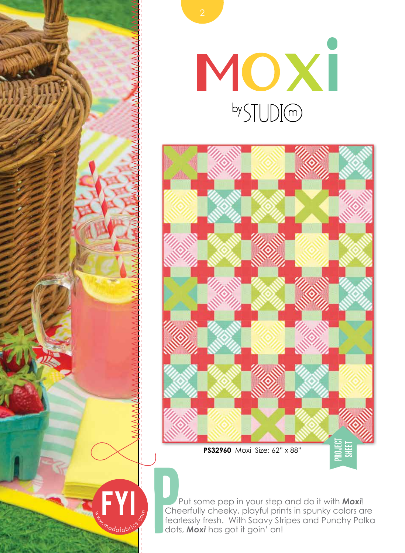





 Put some pep in your step and do it with *Moxi*! Cheerfully cheeky, playful prints in spunky colors are fearlessly fresh. With Saavy Stripes and Punchy Polka dots, *Moxi* has got it goin' on!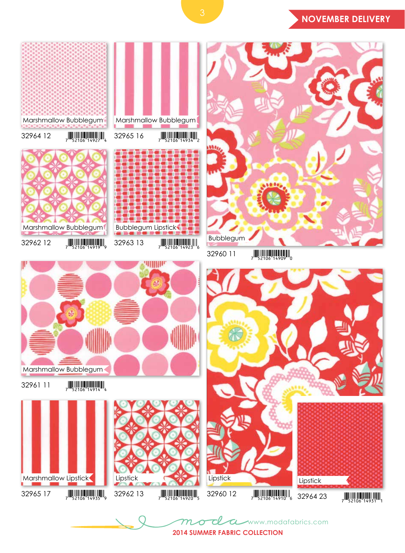## <sup>3</sup> **november Delivery**



**2014 Summer Fabric collection**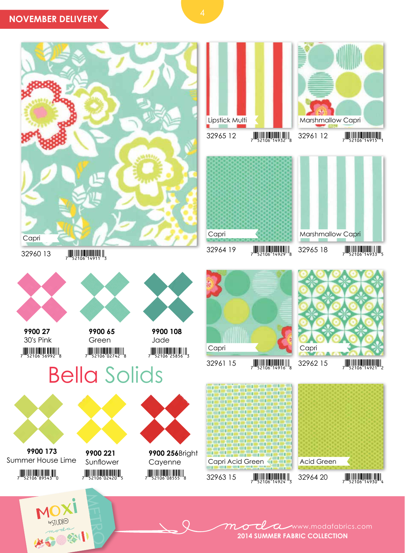## **November Delivery** <sup>4</sup>



**2014 Summer Fabric collection**